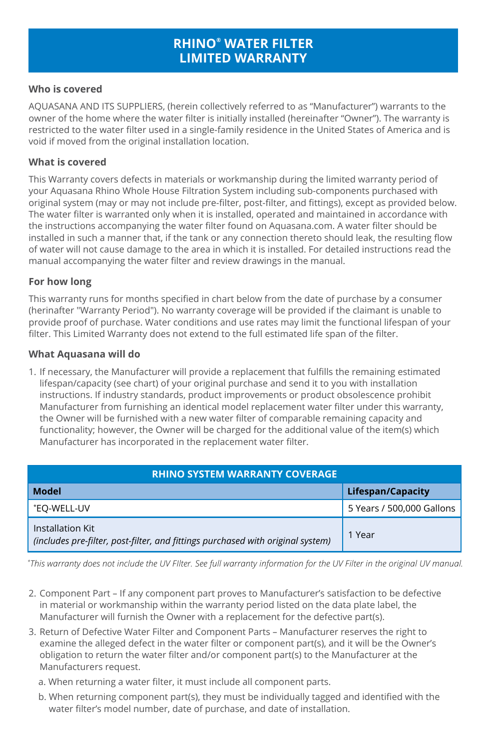# **RHINO® WATER FILTER LIMITED WARRANTY**

#### **Who is covered**

AQUASANA AND ITS SUPPLIERS, (herein collectively referred to as "Manufacturer") warrants to the owner of the home where the water filter is initially installed (hereinafter "Owner"). The warranty is restricted to the water filter used in a single-family residence in the United States of America and is void if moved from the original installation location.

#### **What is covered**

This Warranty covers defects in materials or workmanship during the limited warranty period of your Aquasana Rhino Whole House Filtration System including sub-components purchased with original system (may or may not include pre-filter, post-filter, and fittings), except as provided below. The water filter is warranted only when it is installed, operated and maintained in accordance with the instructions accompanying the water filter found on Aquasana.com. A water filter should be installed in such a manner that, if the tank or any connection thereto should leak, the resulting flow of water will not cause damage to the area in which it is installed. For detailed instructions read the manual accompanying the water filter and review drawings in the manual.

# **For how long**

This warranty runs for months specified in chart below from the date of purchase by a consumer (herinafter "Warranty Period"). No warranty coverage will be provided if the claimant is unable to provide proof of purchase. Water conditions and use rates may limit the functional lifespan of your filter. This Limited Warranty does not extend to the full estimated life span of the filter.

#### **What Aquasana will do**

1. If necessary, the Manufacturer will provide a replacement that fulfills the remaining estimated lifespan/capacity (see chart) of your original purchase and send it to you with installation instructions. If industry standards, product improvements or product obsolescence prohibit Manufacturer from furnishing an identical model replacement water filter under this warranty, the Owner will be furnished with a new water filter of comparable remaining capacity and functionality; however, the Owner will be charged for the additional value of the item(s) which Manufacturer has incorporated in the replacement water filter.

| <b>RHINO SYSTEM WARRANTY COVERAGE</b>                                                               |                           |
|-----------------------------------------------------------------------------------------------------|---------------------------|
| <b>Model</b>                                                                                        | Lifespan/Capacity         |
| *EO-WELL-UV                                                                                         | 5 Years / 500,000 Gallons |
| Installation Kit<br>(includes pre-filter, post-filter, and fittings purchased with original system) | 1 Year                    |

*\* This warranty does not include the UV FIlter. See full warranty information for the UV Filter in the original UV manual.*

- 2. Component Part If any component part proves to Manufacturer's satisfaction to be defective in material or workmanship within the warranty period listed on the data plate label, the Manufacturer will furnish the Owner with a replacement for the defective part(s).
- 3. Return of Defective Water Filter and Component Parts Manufacturer reserves the right to examine the alleged defect in the water filter or component part(s), and it will be the Owner's obligation to return the water filter and/or component part(s) to the Manufacturer at the Manufacturers request.
	- a. When returning a water filter, it must include all component parts.
	- b. When returning component part(s), they must be individually tagged and identified with the water filter's model number, date of purchase, and date of installation.